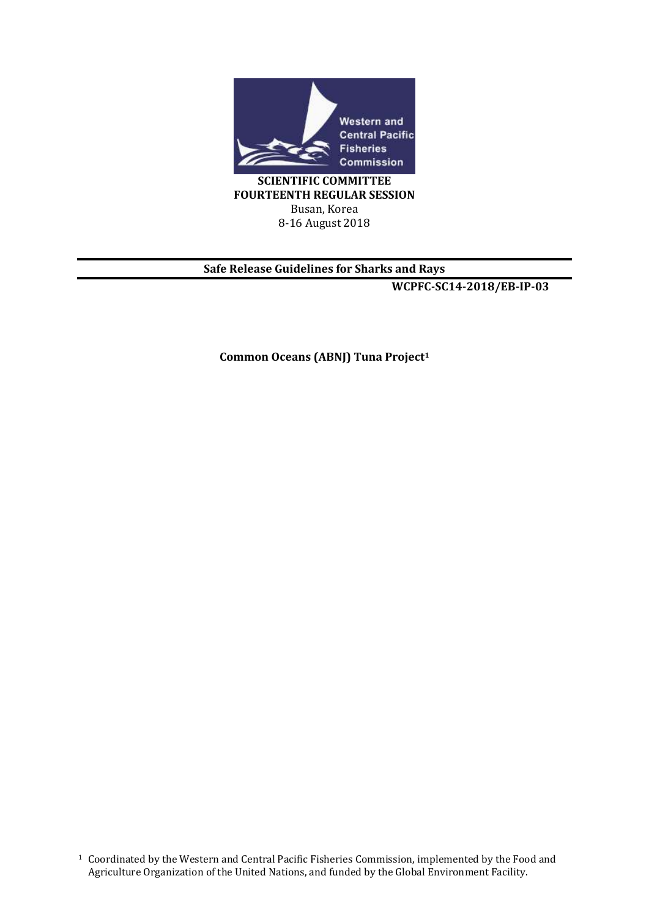

**SCIENTIFIC COMMITTEE FOURTEENTH REGULAR SESSION** Busan, Korea 8-16 August 2018

### **Safe Release Guidelines for Sharks and Rays**

**WCPFC-SC14-2018/EB-IP-03**

**Common Oceans (ABNJ) Tuna Project1**

<sup>1</sup> Coordinated by the Western and Central Pacific Fisheries Commission, implemented by the Food and Agriculture Organization of the United Nations, and funded by the Global Environment Facility.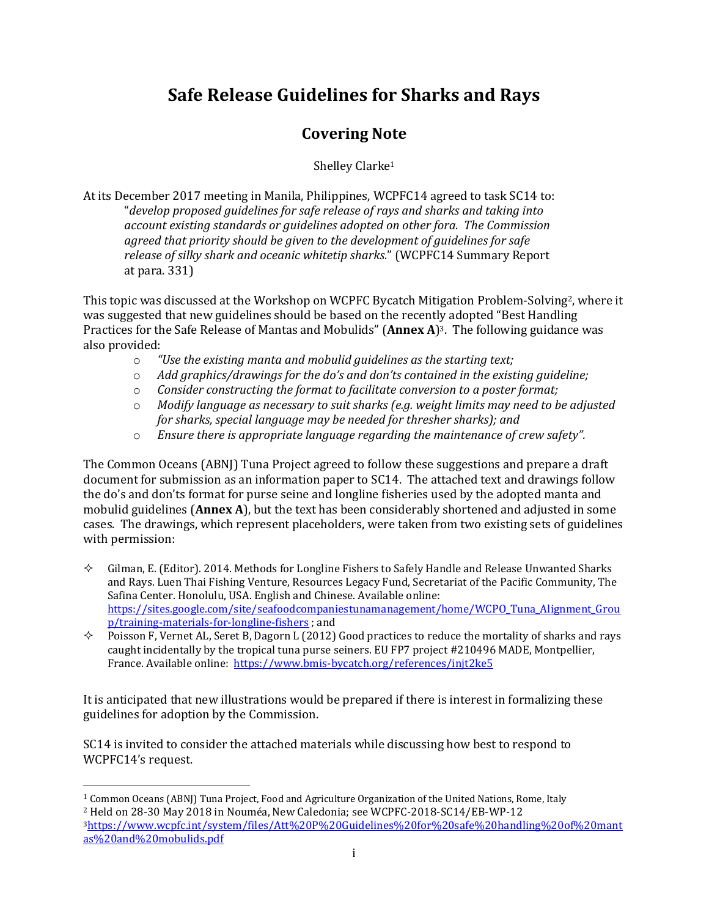### **Safe Release Guidelines for Sharks and Rays**

### **Covering Note**

Shelley Clarke<sup>1</sup>

At its December 2017 meeting in Manila, Philippines, WCPFC14 agreed to task SC14 to: "*develop proposed guidelines for safe release of rays and sharks and taking into account existing standards or guidelines adopted on other fora. The Commission agreed that priority should be given to the development of guidelines for safe release of silky shark and oceanic whitetip sharks.*" (WCPFC14 Summary Report at para. 331)

This topic was discussed at the Workshop on WCPFC Bycatch Mitigation Problem-Solving<sup>2</sup>, where it was suggested that new guidelines should be based on the recently adopted "Best Handling Practices for the Safe Release of Mantas and Mobulids" (**Annex A**) <sup>3</sup>. The following guidance was also provided:

- o *"Use the existing manta and mobulid guidelines as the starting text;*
- o *Add graphics/drawings for the do's and don'ts contained in the existing guideline;*
- o *Consider constructing the format to facilitate conversion to a poster format;*
- o *Modify language as necessary to suit sharks (e.g. weight limits may need to be adjusted for sharks, special language may be needed for thresher sharks); and*
- o *Ensure there is appropriate language regarding the maintenance of crew safety".*

The Common Oceans (ABNJ) Tuna Project agreed to follow these suggestions and prepare a draft document for submission as an information paper to SC14. The attached text and drawings follow the do's and don'ts format for purse seine and longline fisheries used by the adopted manta and mobulid guidelines (**Annex A**), but the text has been considerably shortened and adjusted in some cases. The drawings, which represent placeholders, were taken from two existing sets of guidelines with permission:

- $\Diamond$  Gilman, E. (Editor). 2014. Methods for Longline Fishers to Safely Handle and Release Unwanted Sharks and Rays. Luen Thai Fishing Venture, Resources Legacy Fund, Secretariat of the Pacific Community, The Safina Center. Honolulu, USA. English and Chinese. Available online: [https://sites.google.com/site/seafoodcompaniestunamanagement/home/WCPO\\_Tuna\\_Alignment\\_Grou](https://sites.google.com/site/seafoodcompaniestunamanagement/home/WCPO_Tuna_Alignment_Group/training-materials-for-longline-fishers) [p/training-materials-for-longline-fishers](https://sites.google.com/site/seafoodcompaniestunamanagement/home/WCPO_Tuna_Alignment_Group/training-materials-for-longline-fishers) ; and
- $\Diamond$  Poisson F, Vernet AL, Seret B, Dagorn L (2012) Good practices to reduce the mortality of sharks and rays caught incidentally by the tropical tuna purse seiners. EU FP7 project #210496 MADE, Montpellier, France. Available online: <https://www.bmis-bycatch.org/references/injt2ke5>

It is anticipated that new illustrations would be prepared if there is interest in formalizing these guidelines for adoption by the Commission.

SC14 is invited to consider the attached materials while discussing how best to respond to WCPFC14's request.

 $\overline{a}$ 

<sup>1</sup> Common Oceans (ABNJ) Tuna Project, Food and Agriculture Organization of the United Nations, Rome, Italy <sup>2</sup> Held on 28-30 May 2018 in Nouméa, New Caledonia; see WCPFC-2018-SC14/EB-WP-12

<sup>3</sup>[https://www.wcpfc.int/system/files/Att%20P%20Guidelines%20for%20safe%20handling%20of%20mant](https://www.wcpfc.int/system/files/Att%20P%20Guidelines%20for%20safe%20handling%20of%20mantas%20and%20mobulids.pdf) [as%20and%20mobulids.pdf](https://www.wcpfc.int/system/files/Att%20P%20Guidelines%20for%20safe%20handling%20of%20mantas%20and%20mobulids.pdf)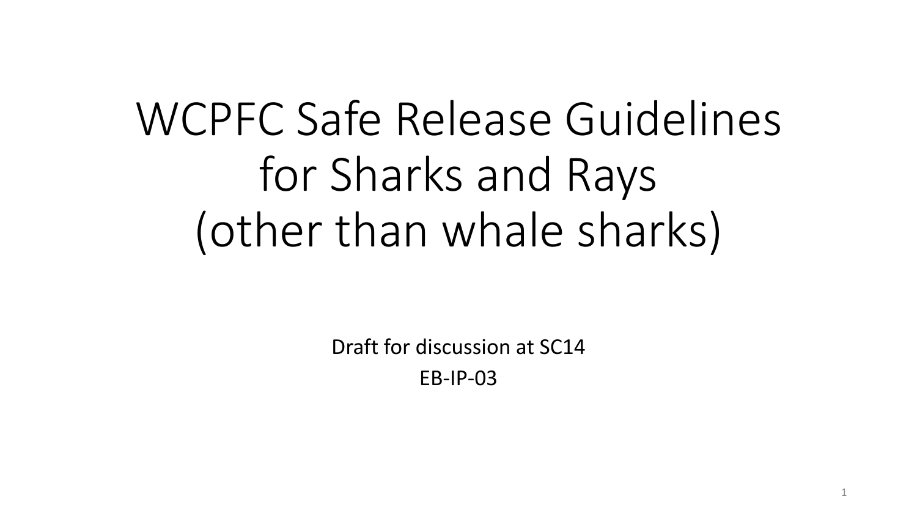# WCPFC Safe Release Guidelines for Sharks and Rays (other than whale sharks)

Draft for discussion at SC14 EB-IP-03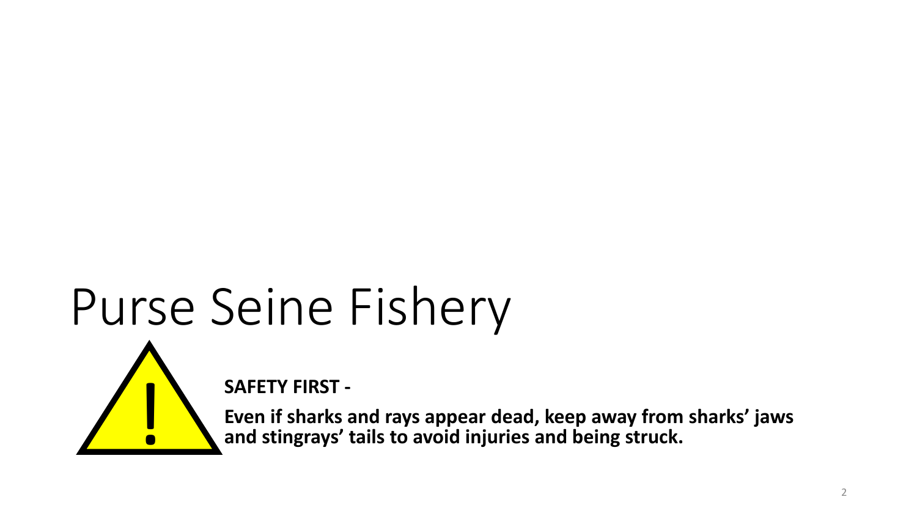# Purse Seine Fishery



**SAFETY FIRST -**

**Even if sharks and rays appear dead, keep away from sharks' jaws** ! **and stingrays' tails to avoid injuries and being struck.**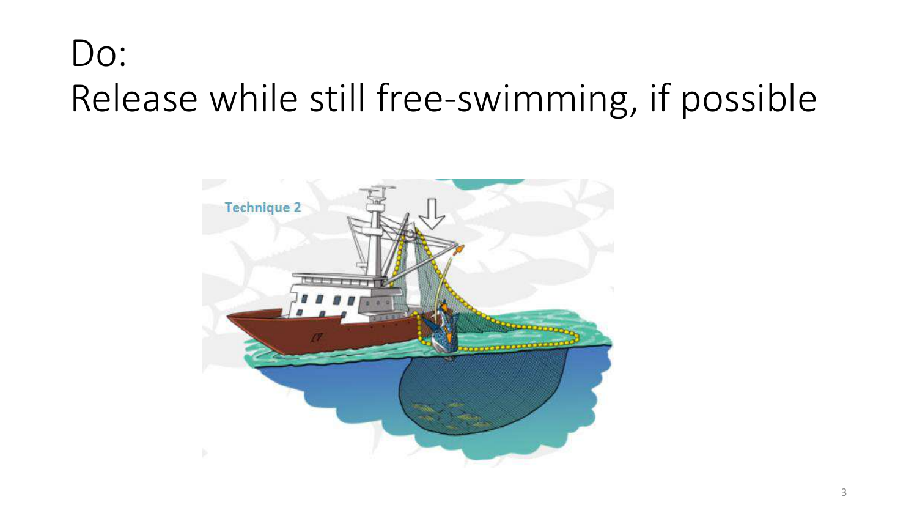## Do: Release while still free-swimming, if possible

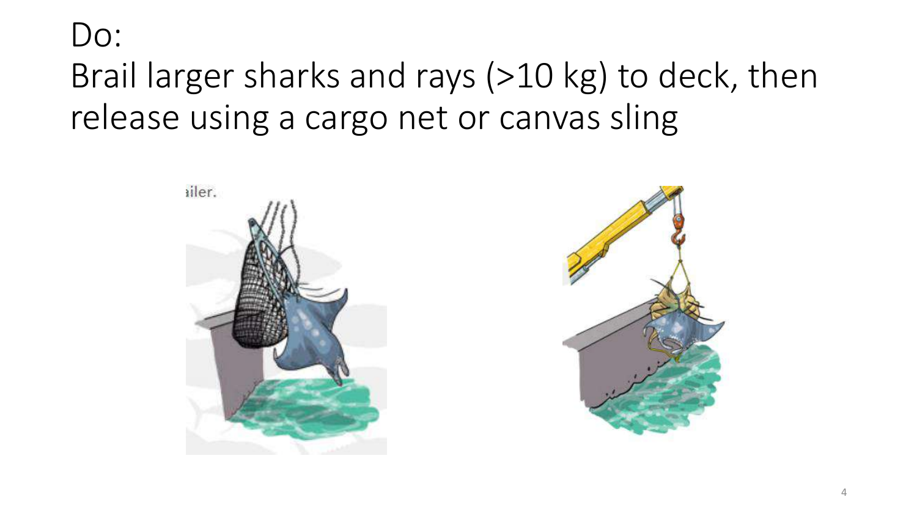### Do: Brail larger sharks and rays (>10 kg) to deck, then release using a cargo net or canvas sling

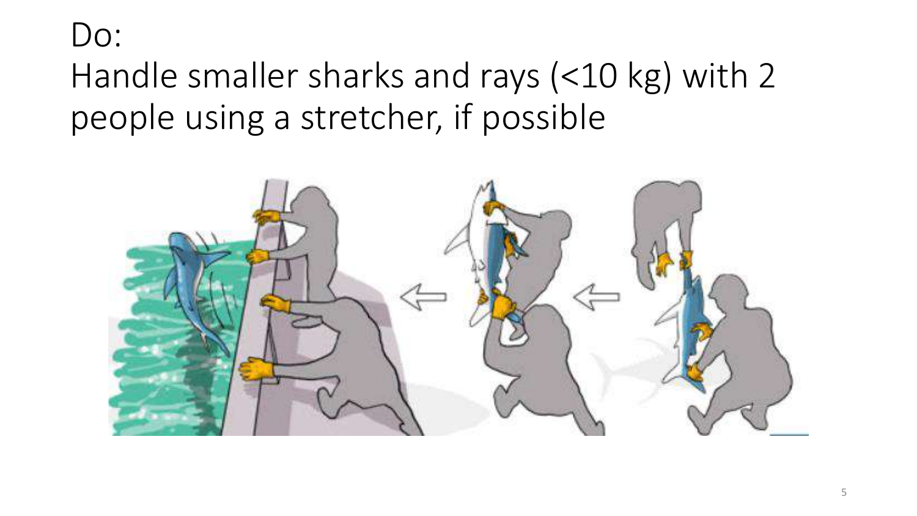### Do: Handle smaller sharks and rays (<10 kg) with 2 people using a stretcher, if possible

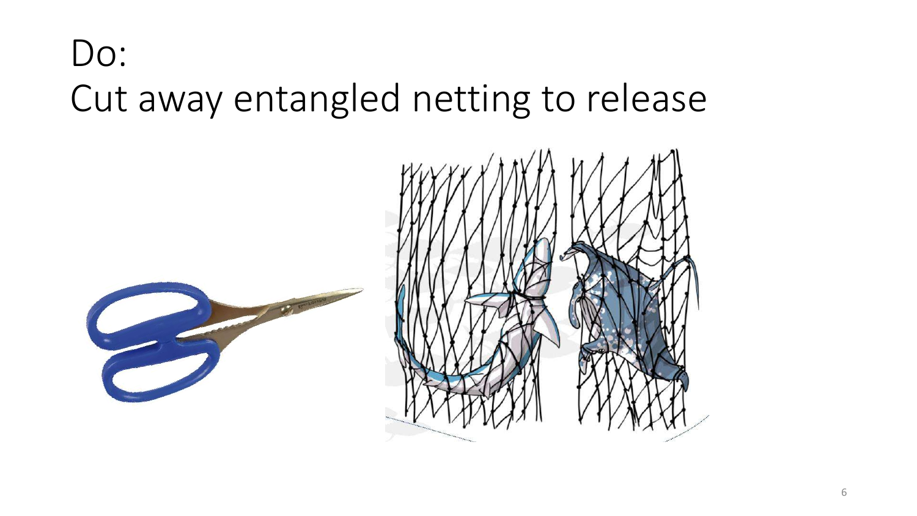## Do: Cut away entangled netting to release

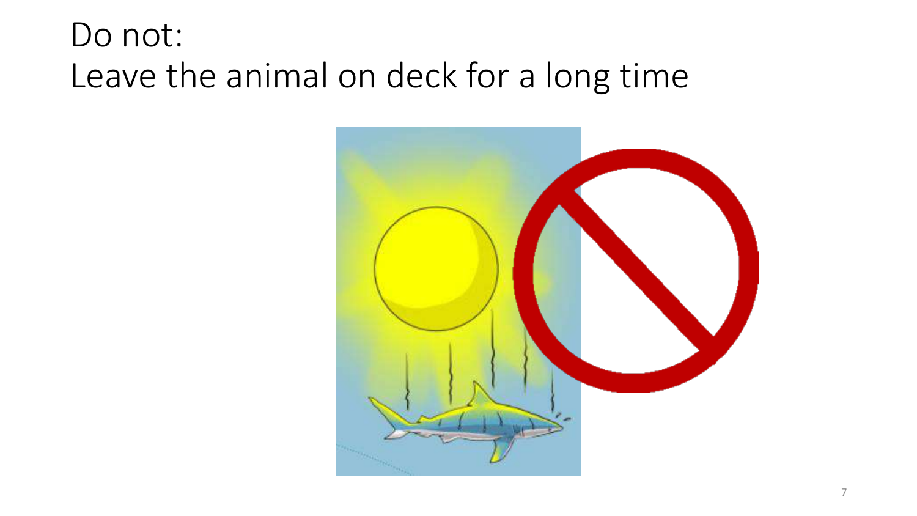### Do not: Leave the animal on deck for a long time

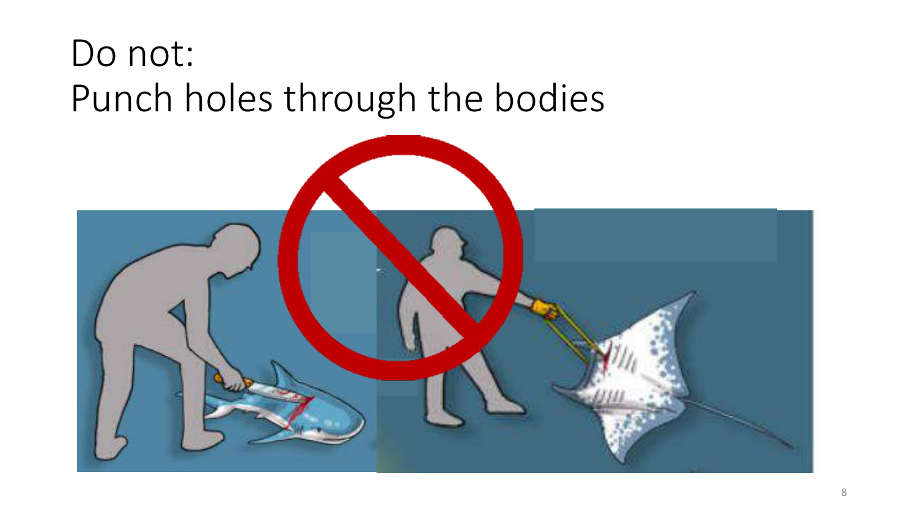## Do not: Punch holes through the bodies

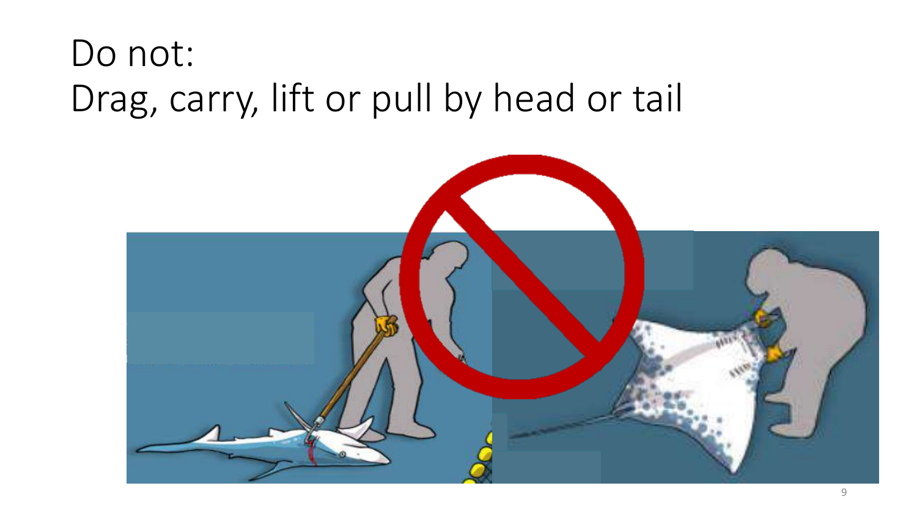# Do not: Drag, carry, lift or pull by head or tail

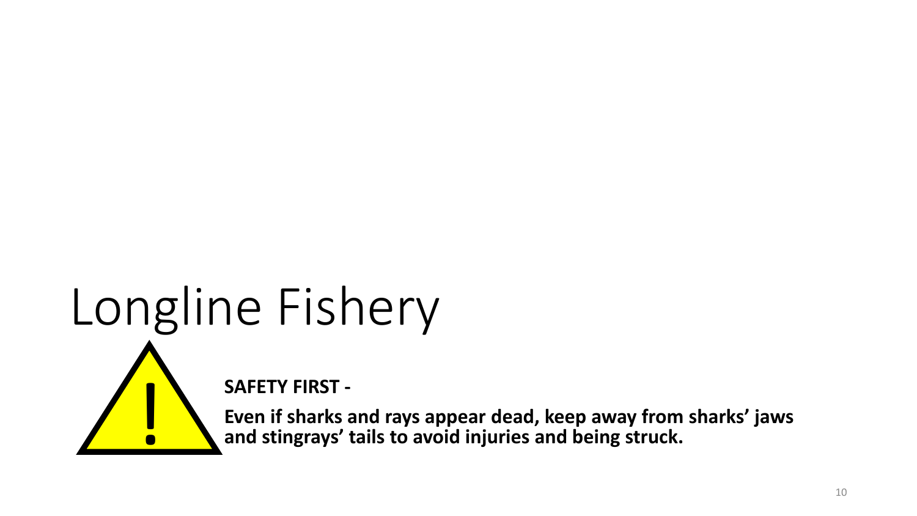# Longline Fishery



**SAFETY FIRST -**

**Even if sharks and rays appear dead, keep away from sharks' jaws** ! **and stingrays' tails to avoid injuries and being struck.**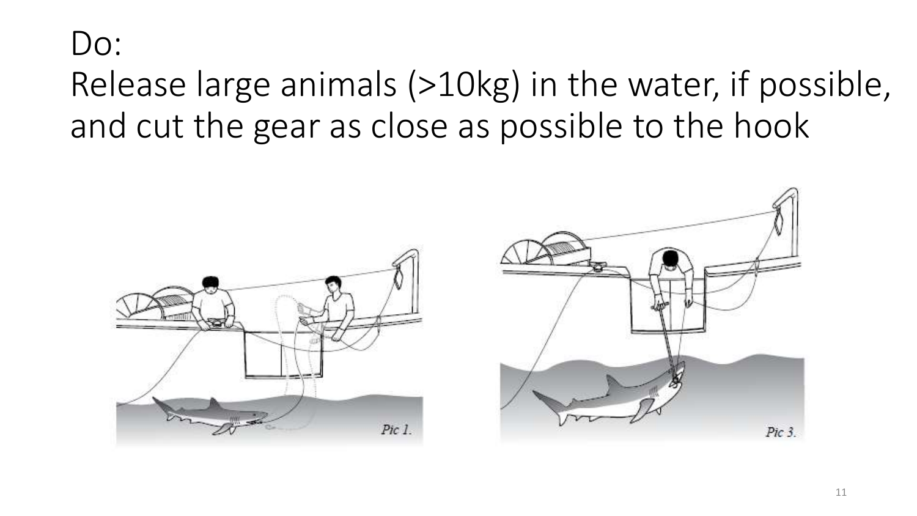### Do: Release large animals (>10kg) in the water, if possible, and cut the gear as close as possible to the hook



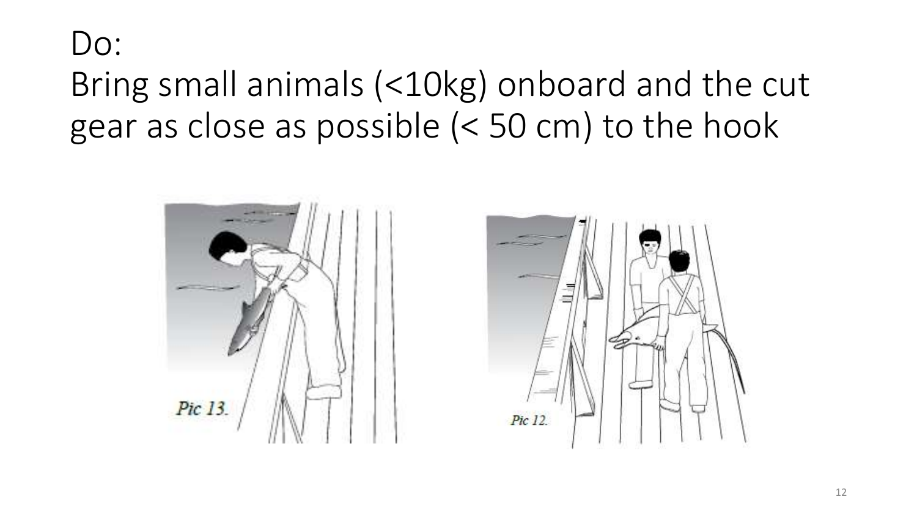### Do: Bring small animals (<10kg) onboard and the cut gear as close as possible (< 50 cm) to the hook



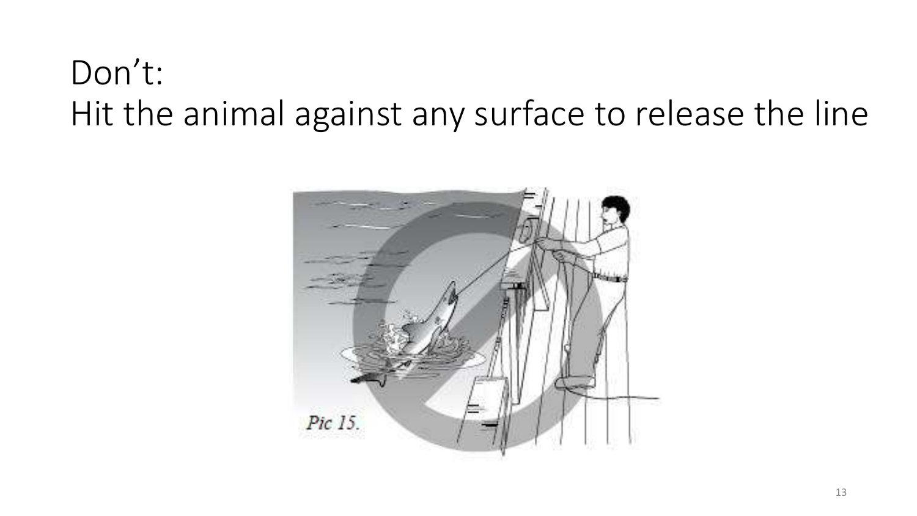### Don't: Hit the animal against any surface to release the line

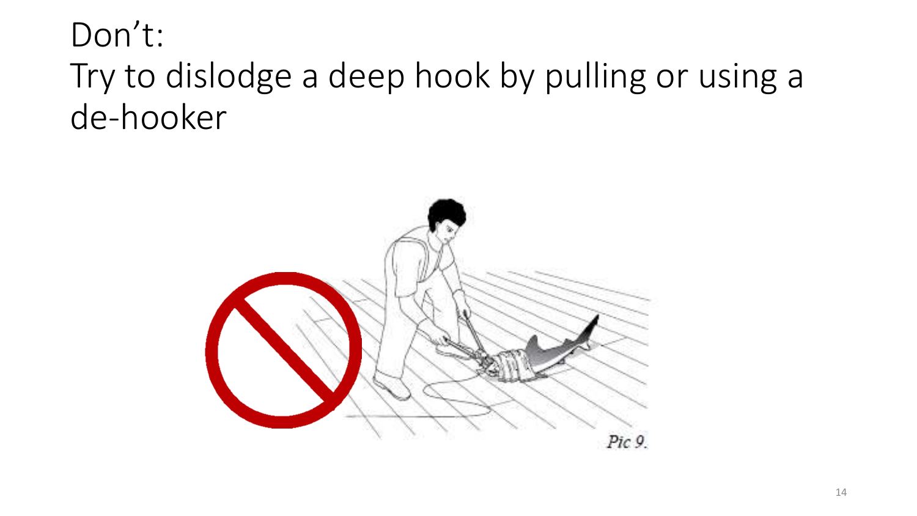### Don't: Try to dislodge a deep hook by pulling or using a de-hooker

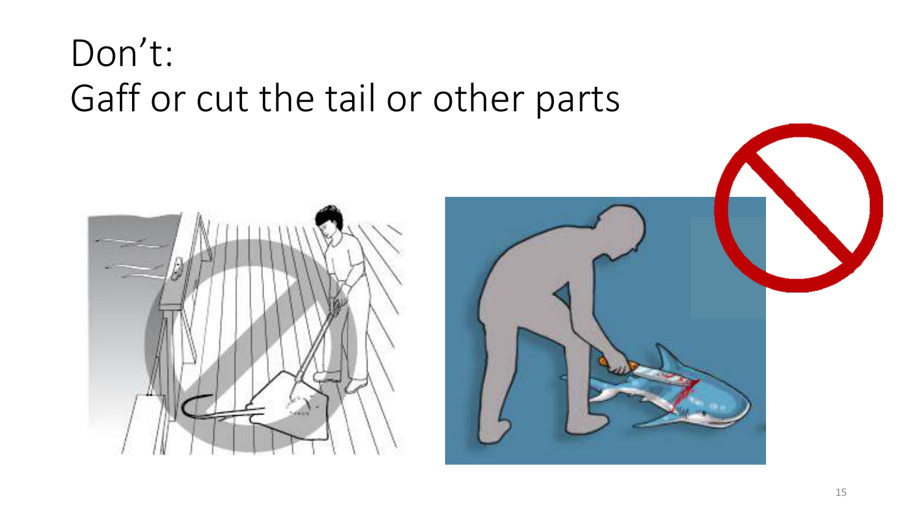



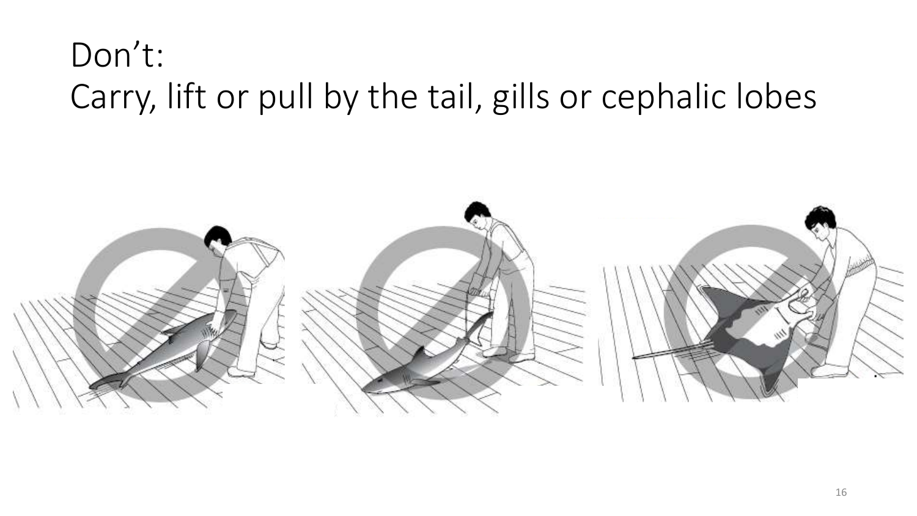### Don't: Carry, lift or pull by the tail, gills or cephalic lobes

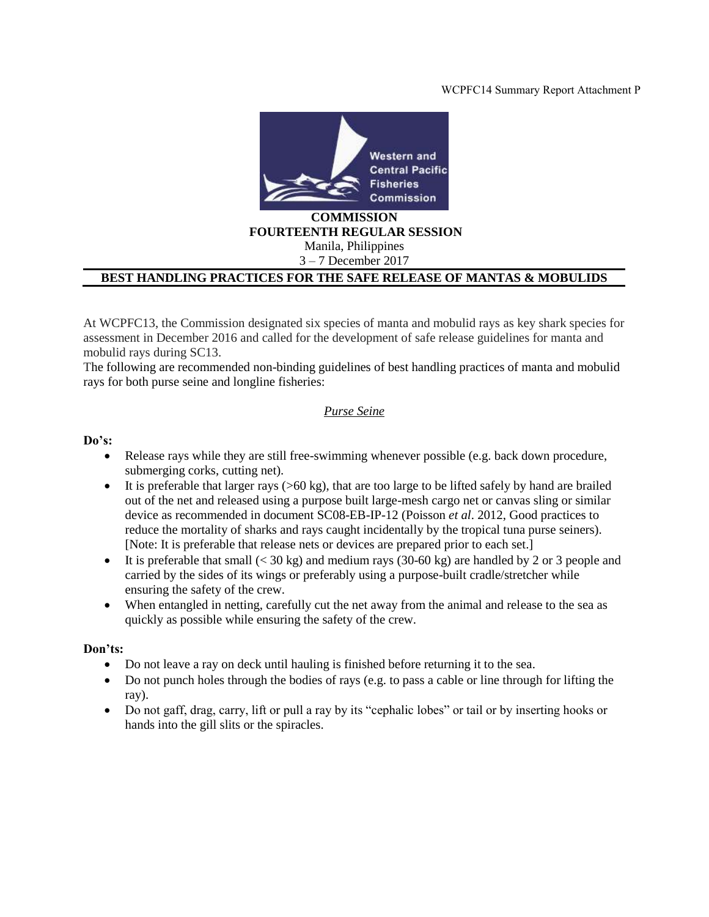#### WCPFC14 Summary Report Attachment P



### **FOURTEENTH REGULAR SESSION**

Manila, Philippines 3 – 7 December 2017

#### **BEST HANDLING PRACTICES FOR THE SAFE RELEASE OF MANTAS & MOBULIDS**

At WCPFC13, the Commission designated six species of manta and mobulid rays as key shark species for assessment in December 2016 and called for the development of safe release guidelines for manta and mobulid rays during SC13.

The following are recommended non-binding guidelines of best handling practices of manta and mobulid rays for both purse seine and longline fisheries:

#### *Purse Seine*

#### **Do's:**

- Release rays while they are still free-swimming whenever possible (e.g. back down procedure, submerging corks, cutting net).
- It is preferable that larger rays  $(>60 \text{ kg})$ , that are too large to be lifted safely by hand are brailed out of the net and released using a purpose built large-mesh cargo net or canvas sling or similar device as recommended in document SC08-EB-IP-12 (Poisson *et al*. 2012, Good practices to reduce the mortality of sharks and rays caught incidentally by the tropical tuna purse seiners). [Note: It is preferable that release nets or devices are prepared prior to each set.]
- It is preferable that small  $( $30 \text{ kg}$ )$  and medium rays  $(30-60 \text{ kg})$  are handled by 2 or 3 people and carried by the sides of its wings or preferably using a purpose-built cradle/stretcher while ensuring the safety of the crew.
- When entangled in netting, carefully cut the net away from the animal and release to the sea as quickly as possible while ensuring the safety of the crew.

#### **Don'ts:**

- Do not leave a ray on deck until hauling is finished before returning it to the sea.
- Do not punch holes through the bodies of rays (e.g. to pass a cable or line through for lifting the ray).
- Do not gaff, drag, carry, lift or pull a ray by its "cephalic lobes" or tail or by inserting hooks or hands into the gill slits or the spiracles.